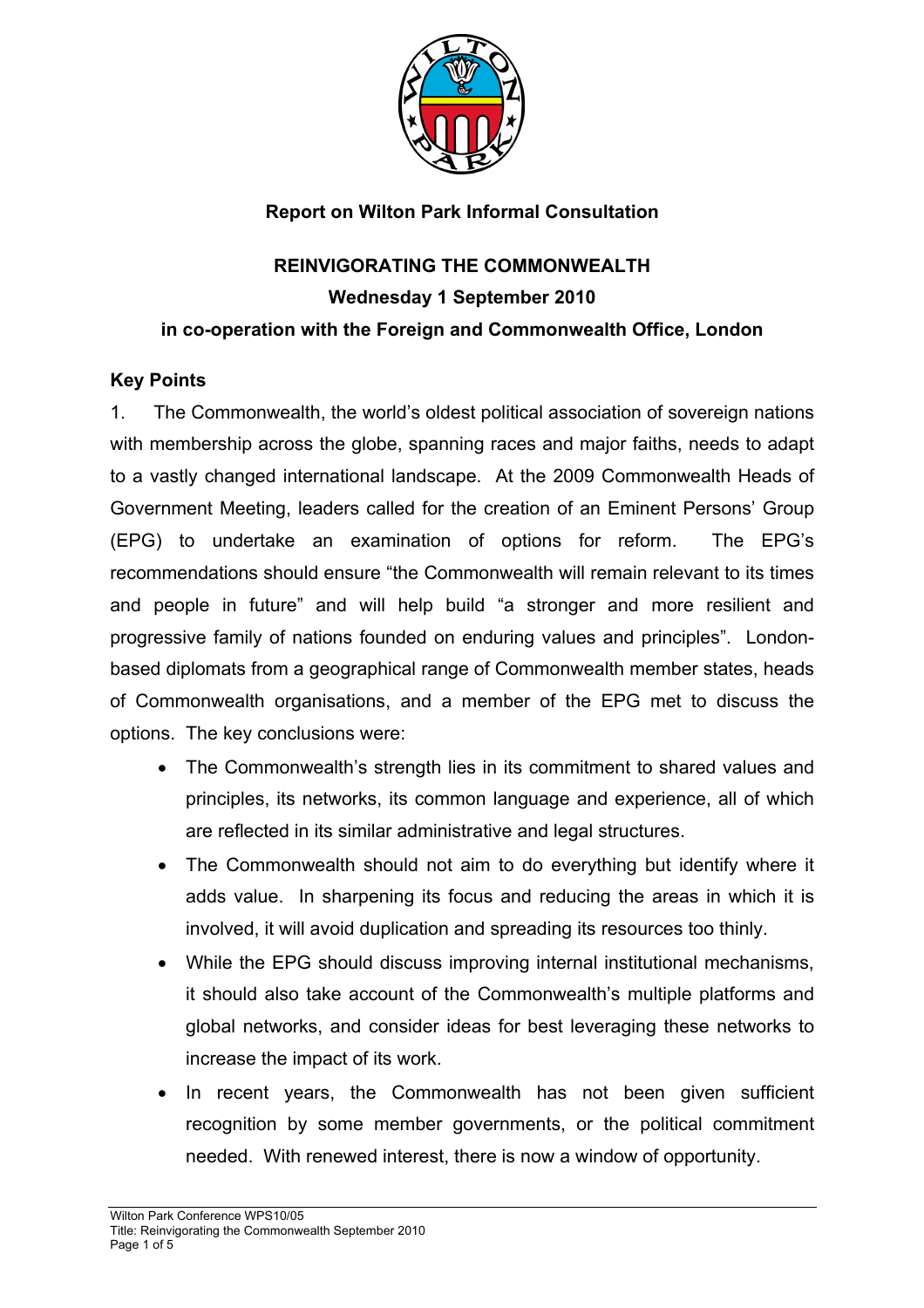

## **Report on Wilton Park Informal Consultation**

# **REINVIGORATING THE COMMONWEALTH Wednesday 1 September 2010 in co-operation with the Foreign and Commonwealth Office, London**

### **Key Points**

1. The Commonwealth, the world's oldest political association of sovereign nations with membership across the globe, spanning races and major faiths, needs to adapt to a vastly changed international landscape. At the 2009 Commonwealth Heads of Government Meeting, leaders called for the creation of an Eminent Persons' Group (EPG) to undertake an examination of options for reform. The EPG's recommendations should ensure "the Commonwealth will remain relevant to its times and people in future" and will help build "a stronger and more resilient and progressive family of nations founded on enduring values and principles". Londonbased diplomats from a geographical range of Commonwealth member states, heads of Commonwealth organisations, and a member of the EPG met to discuss the options. The key conclusions were:

- The Commonwealth's strength lies in its commitment to shared values and principles, its networks, its common language and experience, all of which are reflected in its similar administrative and legal structures.
- The Commonwealth should not aim to do everything but identify where it adds value. In sharpening its focus and reducing the areas in which it is involved, it will avoid duplication and spreading its resources too thinly.
- While the EPG should discuss improving internal institutional mechanisms, it should also take account of the Commonwealth's multiple platforms and global networks, and consider ideas for best leveraging these networks to increase the impact of its work.
- In recent years, the Commonwealth has not been given sufficient recognition by some member governments, or the political commitment needed. With renewed interest, there is now a window of opportunity.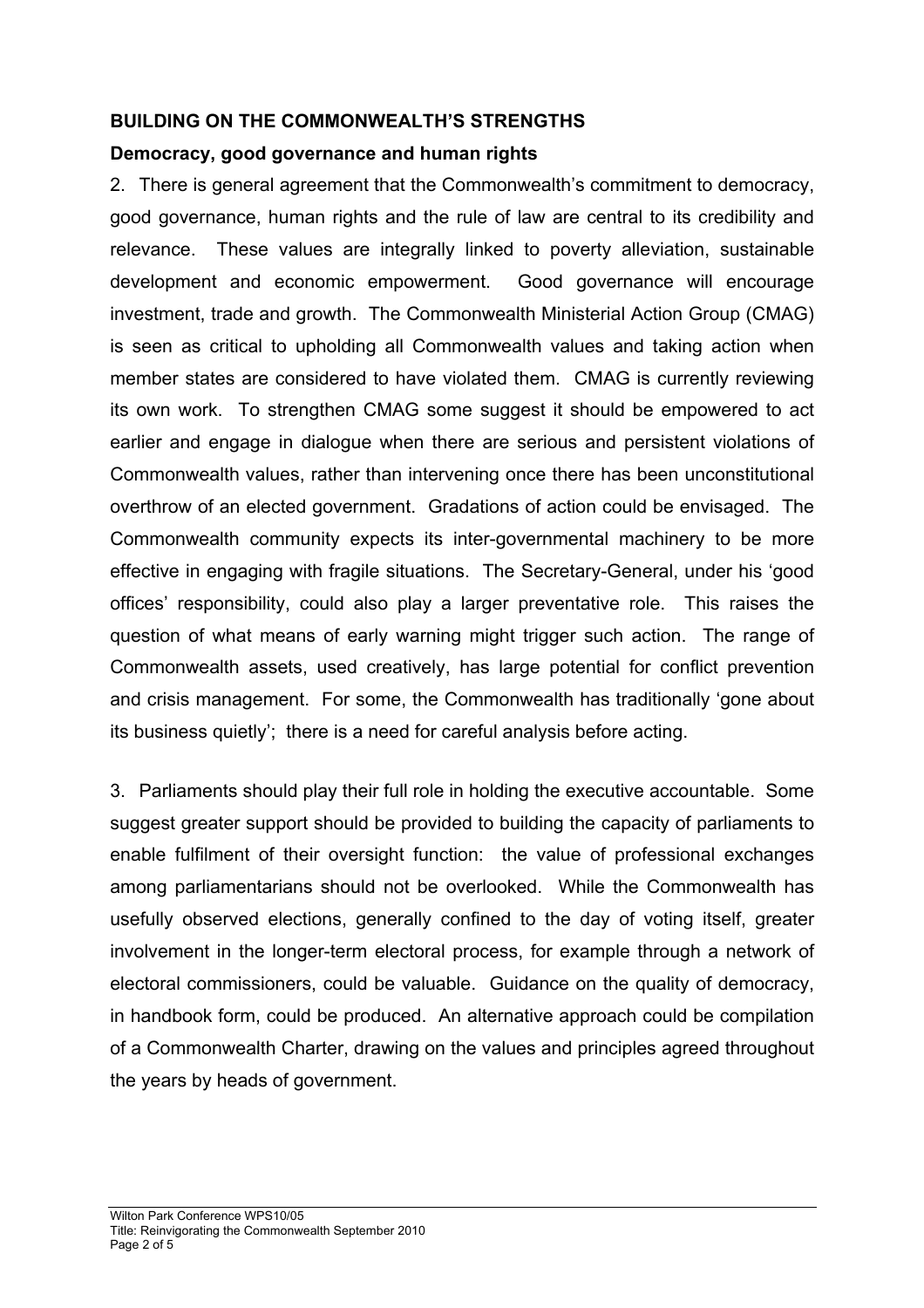## **BUILDING ON THE COMMONWEALTH'S STRENGTHS**

## **Democracy, good governance and human rights**

2. There is general agreement that the Commonwealth's commitment to democracy, good governance, human rights and the rule of law are central to its credibility and relevance. These values are integrally linked to poverty alleviation, sustainable development and economic empowerment. Good governance will encourage investment, trade and growth. The Commonwealth Ministerial Action Group (CMAG) is seen as critical to upholding all Commonwealth values and taking action when member states are considered to have violated them. CMAG is currently reviewing its own work. To strengthen CMAG some suggest it should be empowered to act earlier and engage in dialogue when there are serious and persistent violations of Commonwealth values, rather than intervening once there has been unconstitutional overthrow of an elected government. Gradations of action could be envisaged. The Commonwealth community expects its inter-governmental machinery to be more effective in engaging with fragile situations. The Secretary-General, under his 'good offices' responsibility, could also play a larger preventative role. This raises the question of what means of early warning might trigger such action. The range of Commonwealth assets, used creatively, has large potential for conflict prevention and crisis management. For some, the Commonwealth has traditionally 'gone about its business quietly'; there is a need for careful analysis before acting.

3. Parliaments should play their full role in holding the executive accountable. Some suggest greater support should be provided to building the capacity of parliaments to enable fulfilment of their oversight function: the value of professional exchanges among parliamentarians should not be overlooked. While the Commonwealth has usefully observed elections, generally confined to the day of voting itself, greater involvement in the longer-term electoral process, for example through a network of electoral commissioners, could be valuable. Guidance on the quality of democracy, in handbook form, could be produced. An alternative approach could be compilation of a Commonwealth Charter, drawing on the values and principles agreed throughout the years by heads of government.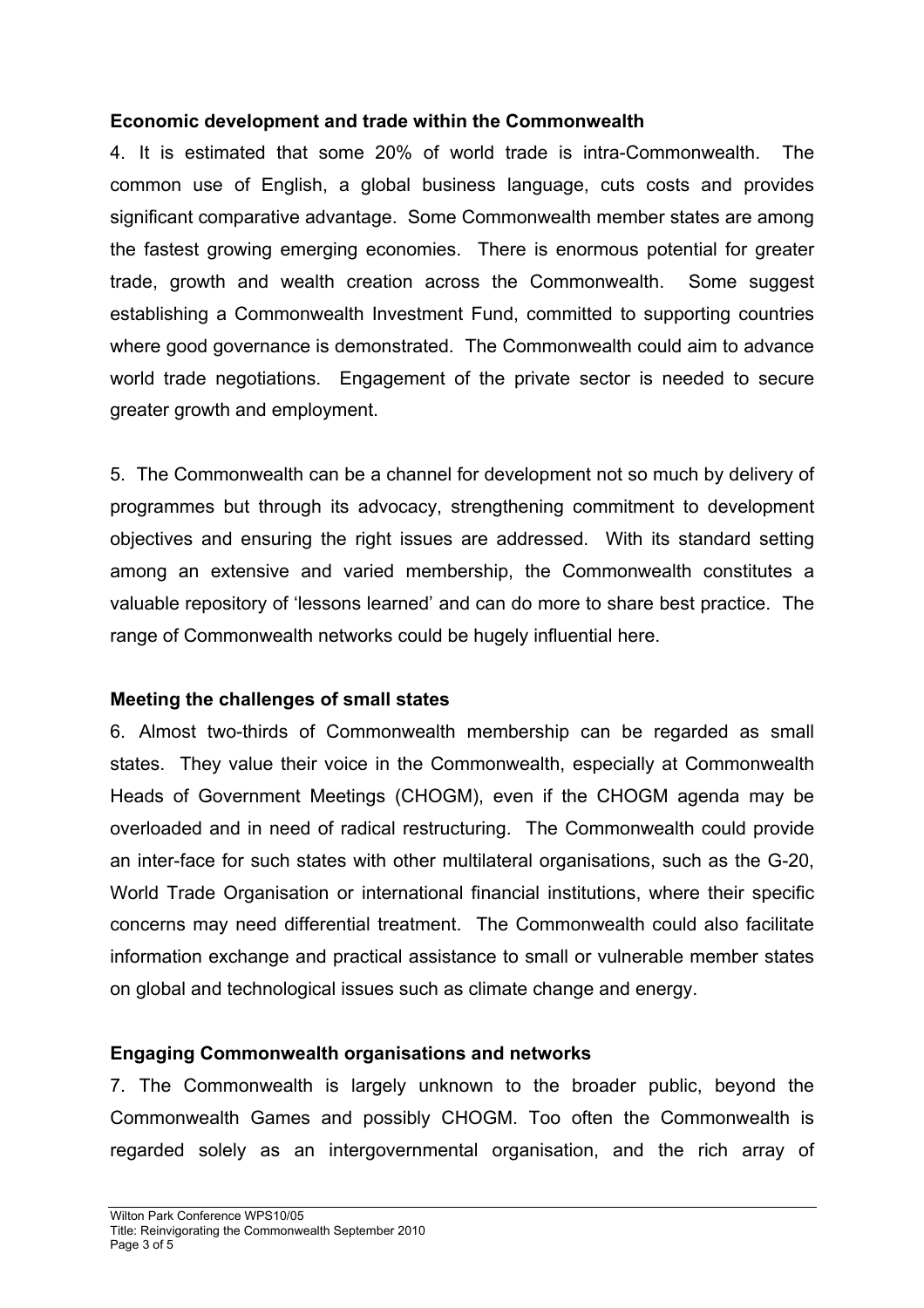#### **Economic development and trade within the Commonwealth**

4. It is estimated that some 20% of world trade is intra-Commonwealth. The common use of English, a global business language, cuts costs and provides significant comparative advantage. Some Commonwealth member states are among the fastest growing emerging economies. There is enormous potential for greater trade, growth and wealth creation across the Commonwealth. Some suggest establishing a Commonwealth Investment Fund, committed to supporting countries where good governance is demonstrated. The Commonwealth could aim to advance world trade negotiations. Engagement of the private sector is needed to secure greater growth and employment.

5. The Commonwealth can be a channel for development not so much by delivery of programmes but through its advocacy, strengthening commitment to development objectives and ensuring the right issues are addressed. With its standard setting among an extensive and varied membership, the Commonwealth constitutes a valuable repository of 'lessons learned' and can do more to share best practice. The range of Commonwealth networks could be hugely influential here.

### **Meeting the challenges of small states**

6. Almost two-thirds of Commonwealth membership can be regarded as small states. They value their voice in the Commonwealth, especially at Commonwealth Heads of Government Meetings (CHOGM), even if the CHOGM agenda may be overloaded and in need of radical restructuring. The Commonwealth could provide an inter-face for such states with other multilateral organisations, such as the G-20, World Trade Organisation or international financial institutions, where their specific concerns may need differential treatment. The Commonwealth could also facilitate information exchange and practical assistance to small or vulnerable member states on global and technological issues such as climate change and energy.

### **Engaging Commonwealth organisations and networks**

7. The Commonwealth is largely unknown to the broader public, beyond the Commonwealth Games and possibly CHOGM. Too often the Commonwealth is regarded solely as an intergovernmental organisation, and the rich array of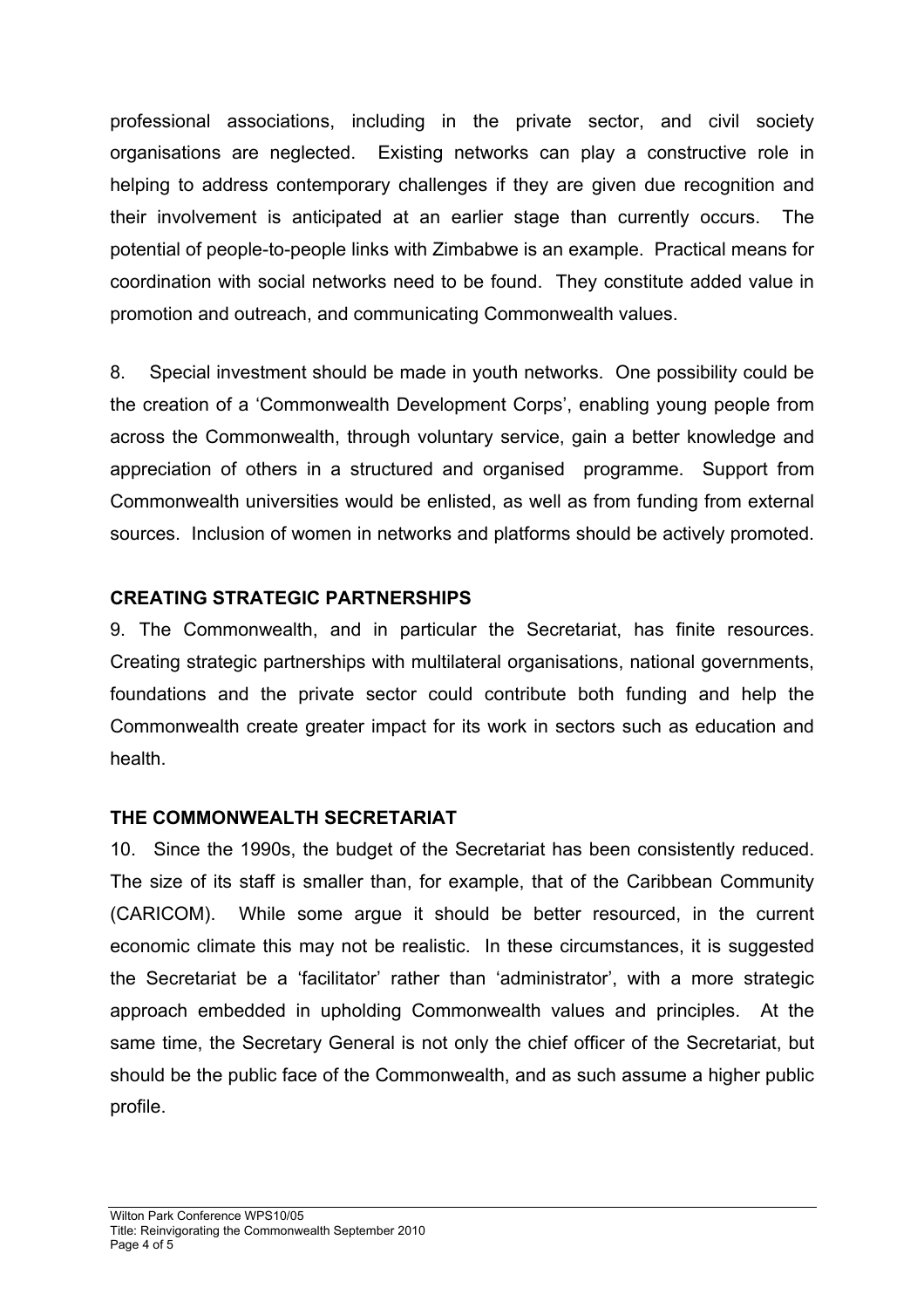professional associations, including in the private sector, and civil society organisations are neglected. Existing networks can play a constructive role in helping to address contemporary challenges if they are given due recognition and their involvement is anticipated at an earlier stage than currently occurs. The potential of people-to-people links with Zimbabwe is an example. Practical means for coordination with social networks need to be found. They constitute added value in promotion and outreach, and communicating Commonwealth values.

8. Special investment should be made in youth networks. One possibility could be the creation of a 'Commonwealth Development Corps', enabling young people from across the Commonwealth, through voluntary service, gain a better knowledge and appreciation of others in a structured and organised programme. Support from Commonwealth universities would be enlisted, as well as from funding from external sources. Inclusion of women in networks and platforms should be actively promoted.

## **CREATING STRATEGIC PARTNERSHIPS**

9. The Commonwealth, and in particular the Secretariat, has finite resources. Creating strategic partnerships with multilateral organisations, national governments, foundations and the private sector could contribute both funding and help the Commonwealth create greater impact for its work in sectors such as education and health.

### **THE COMMONWEALTH SECRETARIAT**

10. Since the 1990s, the budget of the Secretariat has been consistently reduced. The size of its staff is smaller than, for example, that of the Caribbean Community (CARICOM). While some argue it should be better resourced, in the current economic climate this may not be realistic. In these circumstances, it is suggested the Secretariat be a 'facilitator' rather than 'administrator', with a more strategic approach embedded in upholding Commonwealth values and principles. At the same time, the Secretary General is not only the chief officer of the Secretariat, but should be the public face of the Commonwealth, and as such assume a higher public profile.